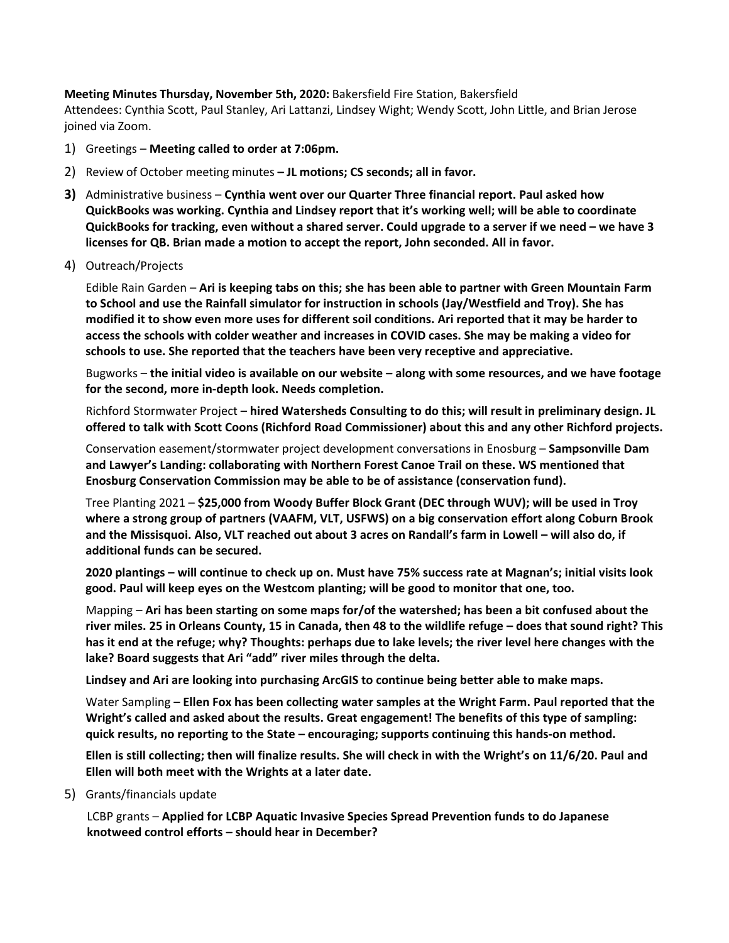**Meeting Minutes Thursday, November 5th, 2020:** Bakersfield Fire Station, Bakersfield Attendees: Cynthia Scott, Paul Stanley, Ari Lattanzi, Lindsey Wight; Wendy Scott, John Little, and Brian Jerose joined via Zoom.

- 1) Greetings **Meeting called to order at 7:06pm.**
- 2) Review of October meeting minutes **– JL motions; CS seconds; all in favor.**
- **3)** Administrative business **Cynthia went over our Quarter Three financial report. Paul asked how QuickBooks was working. Cynthia and Lindsey report that it's working well; will be able to coordinate QuickBooks for tracking, even without a shared server. Could upgrade to a server if we need – we have 3 licenses for QB. Brian made a motion to accept the report, John seconded. All in favor.**
- 4) Outreach/Projects

Edible Rain Garden – **Ari is keeping tabs on this; she has been able to partner with Green Mountain Farm to School and use the Rainfall simulator for instruction in schools (Jay/Westfield and Troy). She has modified it to show even more uses for different soil conditions. Ari reported that it may be harder to access the schools with colder weather and increases in COVID cases. She may be making a video for schools to use. She reported that the teachers have been very receptive and appreciative.**

Bugworks – **the initial video is available on our website – along with some resources, and we have footage for the second, more in-depth look. Needs completion.** 

Richford Stormwater Project – **hired Watersheds Consulting to do this; will result in preliminary design. JL offered to talk with Scott Coons (Richford Road Commissioner) about this and any other Richford projects.**

Conservation easement/stormwater project development conversations in Enosburg – **Sampsonville Dam and Lawyer's Landing: collaborating with Northern Forest Canoe Trail on these. WS mentioned that Enosburg Conservation Commission may be able to be of assistance (conservation fund).** 

Tree Planting 2021 – **\$25,000 from Woody Buffer Block Grant (DEC through WUV); will be used in Troy where a strong group of partners (VAAFM, VLT, USFWS) on a big conservation effort along Coburn Brook and the Missisquoi. Also, VLT reached out about 3 acres on Randall's farm in Lowell – will also do, if additional funds can be secured.**

**2020 plantings – will continue to check up on. Must have 75% success rate at Magnan's; initial visits look good. Paul will keep eyes on the Westcom planting; will be good to monitor that one, too.** 

Mapping – **Ari has been starting on some maps for/of the watershed; has been a bit confused about the river miles. 25 in Orleans County, 15 in Canada, then 48 to the wildlife refuge – does that sound right? This has it end at the refuge; why? Thoughts: perhaps due to lake levels; the river level here changes with the lake? Board suggests that Ari "add" river miles through the delta.** 

**Lindsey and Ari are looking into purchasing ArcGIS to continue being better able to make maps.** 

Water Sampling – **Ellen Fox has been collecting water samples at the Wright Farm. Paul reported that the Wright's called and asked about the results. Great engagement! The benefits of this type of sampling: quick results, no reporting to the State – encouraging; supports continuing this hands-on method.**

**Ellen is still collecting; then will finalize results. She will check in with the Wright's on 11/6/20. Paul and Ellen will both meet with the Wrights at a later date.**

5) Grants/financials update

LCBP grants – **Applied for LCBP Aquatic Invasive Species Spread Prevention funds to do Japanese knotweed control efforts – should hear in December?**